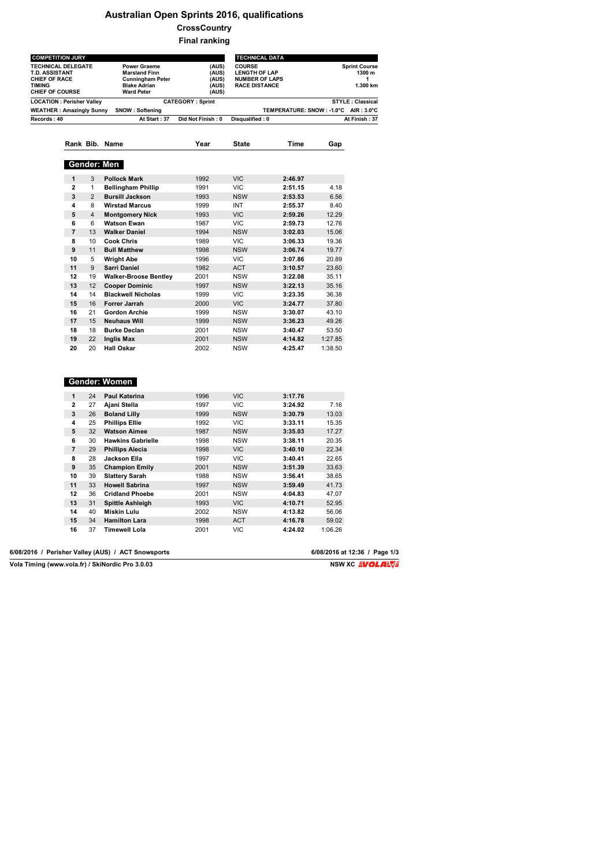# **Australian Open Sprints 2016, qualifications**

**CrossCountry**

**Final ranking**

| <b>COMPETITION JURY</b>                                                                                               |                                                                                                                    |                                           | <b>TECHNICAL DATA</b>                                                                  |                                            |
|-----------------------------------------------------------------------------------------------------------------------|--------------------------------------------------------------------------------------------------------------------|-------------------------------------------|----------------------------------------------------------------------------------------|--------------------------------------------|
| <b>TECHNICAL DELEGATE</b><br><b>T.D. ASSISTANT</b><br><b>CHIEF OF RACE</b><br><b>TIMING</b><br><b>CHIEF OF COURSE</b> | <b>Power Graeme</b><br><b>Marsland Finn</b><br><b>Cunningham Peter</b><br><b>Blake Adrian</b><br><b>Ward Peter</b> | (AUS)<br>(AUS)<br>(AUS)<br>(AUS)<br>(AUS) | <b>COURSE</b><br><b>LENGTH OF LAP</b><br><b>NUMBER OF LAPS</b><br><b>RACE DISTANCE</b> | <b>Sprint Course</b><br>1300 m<br>1.300 km |
| <b>LOCATION: Perisher Vallev</b>                                                                                      |                                                                                                                    | <b>CATEGORY: Sprint</b>                   |                                                                                        | <b>STYLE: Classical</b>                    |
| <b>WEATHER: Amazingly Sunny</b>                                                                                       | <b>SNOW: Softening</b>                                                                                             |                                           |                                                                                        | TEMPERATURE: SNOW: -1.0°C AIR: 3.0°C       |
| Records: 40                                                                                                           | At Start: 37                                                                                                       | Did Not Finish: 0                         | Disqualified: 0                                                                        | At Finish: 37                              |

|                |                | Rank Bib. Name               | Year | <b>State</b> | Time    | Gap     |
|----------------|----------------|------------------------------|------|--------------|---------|---------|
|                |                |                              |      |              |         |         |
|                |                | Gender: Men                  |      |              |         |         |
|                |                |                              |      |              |         |         |
| 1              | 3              | <b>Pollock Mark</b>          | 1992 | <b>VIC</b>   | 2:46.97 |         |
| $\overline{2}$ | 1              | <b>Bellingham Phillip</b>    | 1991 | <b>VIC</b>   | 2:51.15 | 4.18    |
| 3              | $\overline{2}$ | <b>Bursill Jackson</b>       | 1993 | <b>NSW</b>   | 2:53.53 | 6.56    |
| 4              | 8              | <b>Wirstad Marcus</b>        | 1999 | INT          | 2:55.37 | 8.40    |
| 5              | $\overline{4}$ | <b>Montgomery Nick</b>       | 1993 | <b>VIC</b>   | 2:59.26 | 12.29   |
| 6              | 6              | Watson Ewan                  | 1987 | <b>VIC</b>   | 2:59.73 | 12.76   |
| $\overline{7}$ | 13             | <b>Walker Daniel</b>         | 1994 | <b>NSW</b>   | 3:02.03 | 15.06   |
| 8              | 10             | <b>Cook Chris</b>            | 1989 | <b>VIC</b>   | 3:06.33 | 19.36   |
| 9              | 11             | <b>Bull Matthew</b>          | 1998 | <b>NSW</b>   | 3:06.74 | 19.77   |
| 10             | 5              | <b>Wright Abe</b>            | 1996 | <b>VIC</b>   | 3:07.86 | 20.89   |
| 11             | 9              | Sarri Daniel                 | 1982 | <b>ACT</b>   | 3:10.57 | 23.60   |
| 12             | 19             | <b>Walker-Broose Bentley</b> | 2001 | <b>NSW</b>   | 3:22.08 | 35.11   |
| 13             | 12             | <b>Cooper Dominic</b>        | 1997 | <b>NSW</b>   | 3:22.13 | 35.16   |
| 14             | 14             | <b>Blackwell Nicholas</b>    | 1999 | <b>VIC</b>   | 3:23.35 | 36.38   |
| 15             | 16             | Forrer Jarrah                | 2000 | <b>VIC</b>   | 3:24.77 | 37.80   |
| 16             | 21             | Gordon Archie                | 1999 | <b>NSW</b>   | 3:30.07 | 43.10   |
| 17             | 15             | <b>Neuhaus Will</b>          | 1999 | <b>NSW</b>   | 3:36.23 | 49.26   |
| 18             | 18             | <b>Burke Declan</b>          | 2001 | <b>NSW</b>   | 3:40.47 | 53.50   |
| 19             | 22             | Inglis Max                   | 2001 | <b>NSW</b>   | 4:14.82 | 1:27.85 |
| 20             | 20             | <b>Hall Oskar</b>            | 2002 | <b>NSW</b>   | 4:25.47 | 1:38.50 |
|                |                |                              |      |              |         |         |

# **Gender: Women**

| $\mathbf{1}$   | 24 | Paul Katerina            | 1996 | <b>VIC</b> | 3:17.76 |         |
|----------------|----|--------------------------|------|------------|---------|---------|
| $\mathbf{2}$   | 27 | Ajani Stella             | 1997 | <b>VIC</b> | 3:24.92 | 7.16    |
| 3              | 26 | <b>Boland Lilly</b>      | 1999 | <b>NSW</b> | 3:30.79 | 13.03   |
| 4              | 25 | <b>Phillips Ellie</b>    | 1992 | <b>VIC</b> | 3:33.11 | 15.35   |
| 5              | 32 | <b>Watson Aimee</b>      | 1987 | <b>NSW</b> | 3:35.03 | 17.27   |
| 6              | 30 | <b>Hawkins Gabrielle</b> | 1998 | <b>NSW</b> | 3:38.11 | 20.35   |
| $\overline{7}$ | 29 | <b>Phillips Alecia</b>   | 1998 | <b>VIC</b> | 3:40.10 | 22.34   |
| 8              | 28 | Jackson Ella             | 1997 | <b>VIC</b> | 3:40.41 | 22.65   |
| 9              | 35 | <b>Champion Emily</b>    | 2001 | <b>NSW</b> | 3:51.39 | 33.63   |
| 10             | 39 | <b>Slattery Sarah</b>    | 1988 | <b>NSW</b> | 3:56.41 | 38.65   |
| 11             | 33 | <b>Howell Sabrina</b>    | 1997 | <b>NSW</b> | 3:59.49 | 41.73   |
| 12             | 36 | <b>Cridland Phoebe</b>   | 2001 | <b>NSW</b> | 4:04.83 | 47.07   |
| 13             | 31 | <b>Spittle Ashleigh</b>  | 1993 | <b>VIC</b> | 4:10.71 | 52.95   |
| 14             | 40 | Miskin Lulu              | 2002 | <b>NSW</b> | 4:13.82 | 56.06   |
| 15             | 34 | <b>Hamilton Lara</b>     | 1998 | <b>ACT</b> | 4:16.78 | 59.02   |
| 16             | 37 | Timewell Lola            | 2001 | <b>VIC</b> | 4:24.02 | 1:06.26 |
|                |    |                          |      |            |         |         |

| 6/08/2016 / Perisher Valley (AUS) / ACT Snowsports | 6/08/2016 at 12:36 / Page 1/3 |
|----------------------------------------------------|-------------------------------|
| Vola Timing (www.vola.fr) / SkiNordic Pro 3.0.03   | NSW XC <i>E<b>vola</b>eve</i> |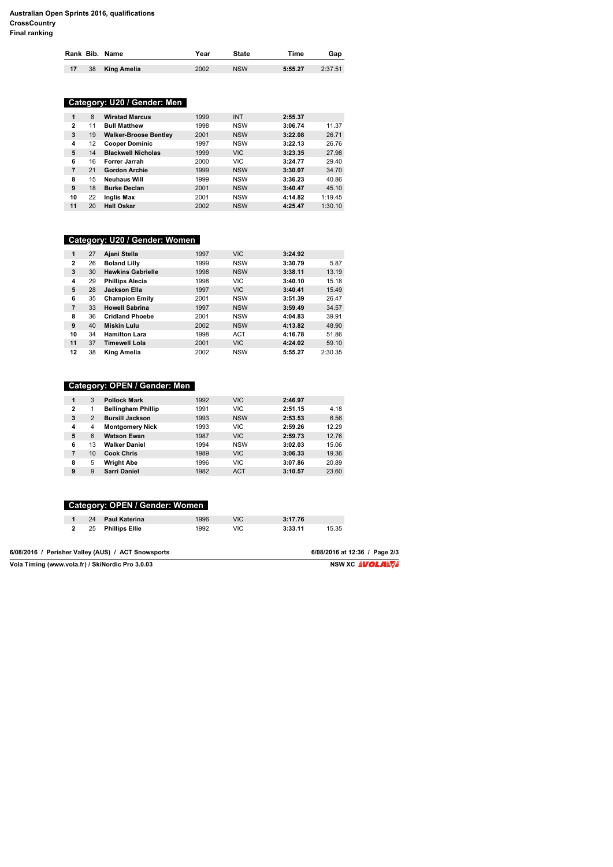|                                                                     | Rank Bib. Name |  | Year | <b>State</b> | Time | Gap |
|---------------------------------------------------------------------|----------------|--|------|--------------|------|-----|
| 17<br>2002<br>2:37.51<br><b>NSW</b><br>5:55.27<br>King Amelia<br>38 |                |  |      |              |      |     |

#### $\bf{Categorical}$  : U20 / Gender: Men  $\bf{C}$

| 1              | 8  | <b>Wirstad Marcus</b>        | 1999 | <b>INT</b> | 2:55.37 |         |
|----------------|----|------------------------------|------|------------|---------|---------|
| 2              | 11 | <b>Bull Matthew</b>          | 1998 | <b>NSW</b> | 3:06.74 | 11.37   |
| 3              | 19 | <b>Walker-Broose Bentley</b> | 2001 | <b>NSW</b> | 3:22.08 | 26.71   |
| 4              | 12 | <b>Cooper Dominic</b>        | 1997 | <b>NSW</b> | 3:22.13 | 26.76   |
| 5              | 14 | <b>Blackwell Nicholas</b>    | 1999 | <b>VIC</b> | 3:23.35 | 27.98   |
| 6              | 16 | Forrer Jarrah                | 2000 | VIC        | 3:24.77 | 29.40   |
| $\overline{7}$ | 21 | <b>Gordon Archie</b>         | 1999 | <b>NSW</b> | 3:30.07 | 34.70   |
| 8              | 15 | <b>Neuhaus Will</b>          | 1999 | <b>NSW</b> | 3:36.23 | 40.86   |
| 9              | 18 | <b>Burke Declan</b>          | 2001 | <b>NSW</b> | 3:40.47 | 45.10   |
| 10             | 22 | Inglis Max                   | 2001 | <b>NSW</b> | 4:14.82 | 1:19.45 |
| 11             | 20 | <b>Hall Oskar</b>            | 2002 | <b>NSW</b> | 4:25.47 | 1:30.10 |

## **Category: U20 / Gender: Women**

| 1              | 27 | Ajani Stella             | 1997 | <b>VIC</b> | 3:24.92 |         |
|----------------|----|--------------------------|------|------------|---------|---------|
| $\overline{2}$ | 26 | <b>Boland Lilly</b>      | 1999 | <b>NSW</b> | 3:30.79 | 5.87    |
| 3              | 30 | <b>Hawkins Gabrielle</b> | 1998 | <b>NSW</b> | 3:38.11 | 13.19   |
| 4              | 29 | <b>Phillips Alecia</b>   | 1998 | <b>VIC</b> | 3:40.10 | 15.18   |
| 5              | 28 | Jackson Ella             | 1997 | <b>VIC</b> | 3:40.41 | 15.49   |
| 6              | 35 | <b>Champion Emily</b>    | 2001 | <b>NSW</b> | 3:51.39 | 26.47   |
| $\overline{7}$ | 33 | <b>Howell Sabrina</b>    | 1997 | <b>NSW</b> | 3:59.49 | 34.57   |
| 8              | 36 | <b>Cridland Phoebe</b>   | 2001 | <b>NSW</b> | 4:04.83 | 39.91   |
| 9              | 40 | Miskin Lulu              | 2002 | <b>NSW</b> | 4:13.82 | 48.90   |
| 10             | 34 | <b>Hamilton Lara</b>     | 1998 | ACT        | 4:16.78 | 51.86   |
| 11             | 37 | <b>Timewell Lola</b>     | 2001 | <b>VIC</b> | 4:24.02 | 59.10   |
| 12             | 38 | <b>King Amelia</b>       | 2002 | <b>NSW</b> | 5:55.27 | 2:30.35 |

## **Category: OPEN / Gender: Men**

| 1 | 3              | <b>Pollock Mark</b>       | 1992 | <b>VIC</b> | 2:46.97          |  |
|---|----------------|---------------------------|------|------------|------------------|--|
| 2 |                | <b>Bellingham Phillip</b> | 1991 | <b>VIC</b> | 2:51.15<br>4.18  |  |
| 3 | $\overline{2}$ | <b>Bursill Jackson</b>    | 1993 | <b>NSW</b> | 6.56<br>2:53.53  |  |
| 4 | 4              | <b>Montgomery Nick</b>    | 1993 | <b>VIC</b> | 2:59.26<br>12.29 |  |
| 5 | 6              | <b>Watson Ewan</b>        | 1987 | <b>VIC</b> | 12.76<br>2:59.73 |  |
| 6 | 13             | <b>Walker Daniel</b>      | 1994 | <b>NSW</b> | 15.06<br>3:02.03 |  |
| 7 | 10             | <b>Cook Chris</b>         | 1989 | <b>VIC</b> | 19.36<br>3:06.33 |  |
| 8 | 5              | <b>Wright Abe</b>         | 1996 | <b>VIC</b> | 3:07.86<br>20.89 |  |
| 9 | 9              | Sarri Daniel              | 1982 | <b>ACT</b> | 23.60<br>3:10.57 |  |
|   |                |                           |      |            |                  |  |

| 1996<br>24 Paul Katerina<br><b>VIC</b><br>3:17.76<br>VIC<br>25 Phillips Ellie<br>1992<br>3:33.11<br>15.35 |  | Category: OPEN / Gender: Women |  |  |
|-----------------------------------------------------------------------------------------------------------|--|--------------------------------|--|--|
|                                                                                                           |  |                                |  |  |
|                                                                                                           |  |                                |  |  |

| 6/08/2016 / Perisher Valley (AUS) / ACT Snowsports | 6/08/2016 at 12:36 / Page 2/3 |
|----------------------------------------------------|-------------------------------|
| Vola Timing (www.vola.fr) / SkiNordic Pro 3.0.03   | NSW XC <i>E<b>vola</b>eve</i> |